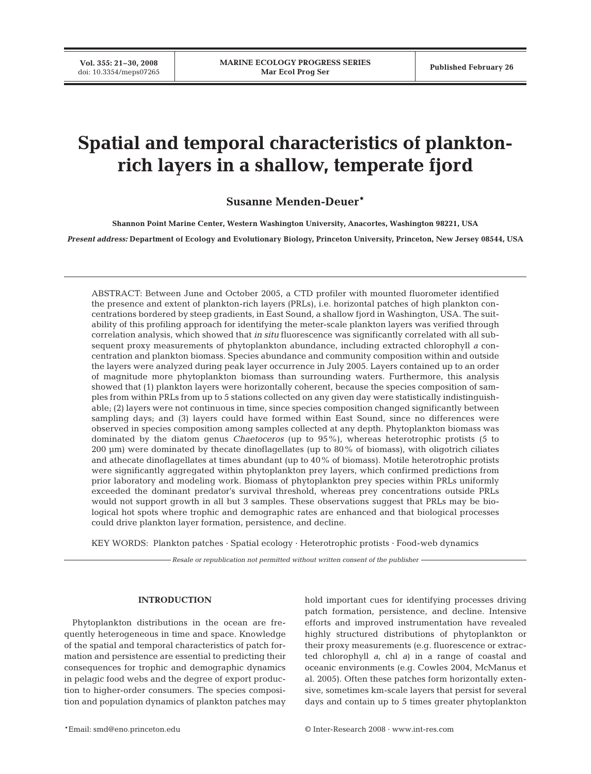**Vol. 355: 21–30, 2008**

# **Spatial and temporal characteristics of planktonrich layers in a shallow, temperate fjord**

# **Susanne Menden-Deuer\***

**Shannon Point Marine Center, Western Washington University, Anacortes, Washington 98221, USA**

*Present address:* **Department of Ecology and Evolutionary Biology, Princeton University, Princeton, New Jersey 08544, USA**

ABSTRACT: Between June and October 2005, a CTD profiler with mounted fluorometer identified the presence and extent of plankton-rich layers (PRLs), i.e. horizontal patches of high plankton concentrations bordered by steep gradients, in East Sound, a shallow fjord in Washington, USA. The suitability of this profiling approach for identifying the meter-scale plankton layers was verified through correlation analysis, which showed that *in situ* fluorescence was significantly correlated with all subsequent proxy measurements of phytoplankton abundance, including extracted chlorophyll *a* concentration and plankton biomass. Species abundance and community composition within and outside the layers were analyzed during peak layer occurrence in July 2005. Layers contained up to an order of magnitude more phytoplankton biomass than surrounding waters. Furthermore, this analysis showed that (1) plankton layers were horizontally coherent, because the species composition of samples from within PRLs from up to 5 stations collected on any given day were statistically indistinguishable; (2) layers were not continuous in time, since species composition changed significantly between sampling days; and (3) layers could have formed within East Sound, since no differences were observed in species composition among samples collected at any depth. Phytoplankton biomass was dominated by the diatom genus *Chaetoceros* (up to 95%), whereas heterotrophic protists (5 to 200 µm) were dominated by thecate dinoflagellates (up to 80% of biomass), with oligotrich ciliates and athecate dinoflagellates at times abundant (up to 40% of biomass). Motile heterotrophic protists were significantly aggregated within phytoplankton prey layers, which confirmed predictions from prior laboratory and modeling work. Biomass of phytoplankton prey species within PRLs uniformly exceeded the dominant predator's survival threshold, whereas prey concentrations outside PRLs would not support growth in all but 3 samples. These observations suggest that PRLs may be biological hot spots where trophic and demographic rates are enhanced and that biological processes could drive plankton layer formation, persistence, and decline.

KEY WORDS: Plankton patches · Spatial ecology · Heterotrophic protists · Food-web dynamics

*Resale or republication not permitted without written consent of the publisher*

## **INTRODUCTION**

Phytoplankton distributions in the ocean are frequently heterogeneous in time and space. Knowledge of the spatial and temporal characteristics of patch formation and persistence are essential to predicting their consequences for trophic and demographic dynamics in pelagic food webs and the degree of export production to higher-order consumers. The species composition and population dynamics of plankton patches may hold important cues for identifying processes driving patch formation, persistence, and decline. Intensive efforts and improved instrumentation have revealed highly structured distributions of phytoplankton or their proxy measurements (e.g. fluorescence or extracted chlorophyll *a*, chl *a*) in a range of coastal and oceanic environments (e.g. Cowles 2004, McManus et al. 2005). Often these patches form horizontally extensive, sometimes km-scale layers that persist for several days and contain up to 5 times greater phytoplankton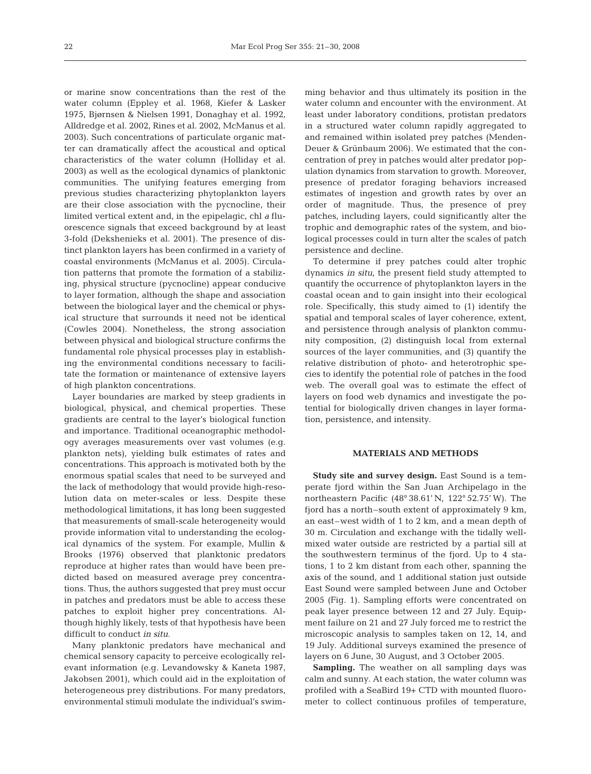or marine snow concentrations than the rest of the water column (Eppley et al. 1968, Kiefer & Lasker 1975, Bjørnsen & Nielsen 1991, Donaghay et al. 1992, Alldredge et al. 2002, Rines et al. 2002, McManus et al. 2003). Such concentrations of particulate organic matter can dramatically affect the acoustical and optical characteristics of the water column (Holliday et al. 2003) as well as the ecological dynamics of planktonic communities. The unifying features emerging from previous studies characterizing phytoplankton layers are their close association with the pycnocline, their limited vertical extent and, in the epipelagic, chl *a* fluorescence signals that exceed background by at least 3-fold (Dekshenieks et al. 2001). The presence of distinct plankton layers has been confirmed in a variety of coastal environments (McManus et al. 2005). Circulation patterns that promote the formation of a stabilizing, physical structure (pycnocline) appear conducive to layer formation, although the shape and association between the biological layer and the chemical or physical structure that surrounds it need not be identical (Cowles 2004). Nonetheless, the strong association between physical and biological structure confirms the fundamental role physical processes play in establishing the environmental conditions necessary to facilitate the formation or maintenance of extensive layers of high plankton concentrations.

Layer boundaries are marked by steep gradients in biological, physical, and chemical properties. These gradients are central to the layer's biological function and importance. Traditional oceanographic methodology averages measurements over vast volumes (e.g. plankton nets), yielding bulk estimates of rates and concentrations. This approach is motivated both by the enormous spatial scales that need to be surveyed and the lack of methodology that would provide high-resolution data on meter-scales or less. Despite these methodological limitations, it has long been suggested that measurements of small-scale heterogeneity would provide information vital to understanding the ecological dynamics of the system. For example, Mullin & Brooks (1976) observed that planktonic predators reproduce at higher rates than would have been predicted based on measured average prey concentrations. Thus, the authors suggested that prey must occur in patches and predators must be able to access these patches to exploit higher prey concentrations. Although highly likely, tests of that hypothesis have been difficult to conduct *in situ*.

Many planktonic predators have mechanical and chemical sensory capacity to perceive ecologically relevant information (e.g. Levandowsky & Kaneta 1987, Jakobsen 2001), which could aid in the exploitation of heterogeneous prey distributions. For many predators, environmental stimuli modulate the individual's swimming behavior and thus ultimately its position in the water column and encounter with the environment. At least under laboratory conditions, protistan predators in a structured water column rapidly aggregated to and remained within isolated prey patches (Menden-Deuer & Grünbaum 2006). We estimated that the concentration of prey in patches would alter predator population dynamics from starvation to growth. Moreover, presence of predator foraging behaviors increased estimates of ingestion and growth rates by over an order of magnitude. Thus, the presence of prey patches, including layers, could significantly alter the trophic and demographic rates of the system, and biological processes could in turn alter the scales of patch persistence and decline.

To determine if prey patches could alter trophic dynamics *in situ*, the present field study attempted to quantify the occurrence of phytoplankton layers in the coastal ocean and to gain insight into their ecological role. Specifically, this study aimed to (1) identify the spatial and temporal scales of layer coherence, extent, and persistence through analysis of plankton community composition, (2) distinguish local from external sources of the layer communities, and (3) quantify the relative distribution of photo- and heterotrophic species to identify the potential role of patches in the food web. The overall goal was to estimate the effect of layers on food web dynamics and investigate the potential for biologically driven changes in layer formation, persistence, and intensity.

## **MATERIALS AND METHODS**

**Study site and survey design.** East Sound is a temperate fjord within the San Juan Archipelago in the northeastern Pacific (48° 38.61' N, 122° 52.75' W). The fjord has a north–south extent of approximately 9 km, an east–west width of 1 to 2 km, and a mean depth of 30 m. Circulation and exchange with the tidally wellmixed water outside are restricted by a partial sill at the southwestern terminus of the fjord. Up to 4 stations, 1 to 2 km distant from each other, spanning the axis of the sound, and 1 additional station just outside East Sound were sampled between June and October 2005 (Fig. 1). Sampling efforts were concentrated on peak layer presence between 12 and 27 July. Equipment failure on 21 and 27 July forced me to restrict the microscopic analysis to samples taken on 12, 14, and 19 July. Additional surveys examined the presence of layers on 6 June, 30 August, and 3 October 2005.

**Sampling.** The weather on all sampling days was calm and sunny. At each station, the water column was profiled with a SeaBird 19+ CTD with mounted fluorometer to collect continuous profiles of temperature,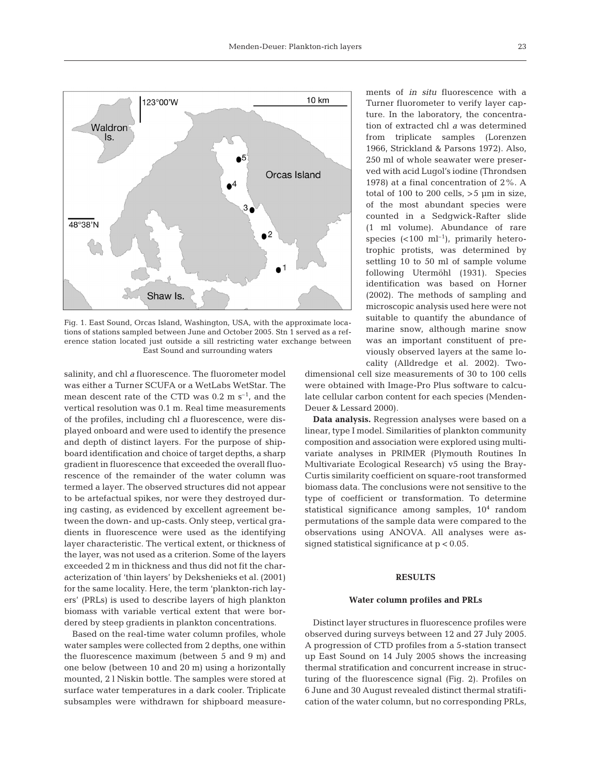

Fig. 1. East Sound, Orcas Island, Washington, USA, with the approximate locations of stations sampled between June and October 2005. Stn 1 served as a reference station located just outside a sill restricting water exchange between East Sound and surrounding waters

salinity, and chl *a* fluorescence. The fluorometer model was either a Turner SCUFA or a WetLabs WetStar. The mean descent rate of the CTD was  $0.2 \text{ m s}^{-1}$ , and the vertical resolution was 0.1 m. Real time measurements of the profiles, including chl *a* fluorescence, were displayed onboard and were used to identify the presence and depth of distinct layers. For the purpose of shipboard identification and choice of target depths, a sharp gradient in fluorescence that exceeded the overall fluorescence of the remainder of the water column was termed a layer. The observed structures did not appear to be artefactual spikes, nor were they destroyed during casting, as evidenced by excellent agreement between the down- and up-casts. Only steep, vertical gradients in fluorescence were used as the identifying layer characteristic. The vertical extent, or thickness of the layer, was not used as a criterion. Some of the layers exceeded 2 m in thickness and thus did not fit the characterization of 'thin layers' by Dekshenieks et al. (2001) for the same locality. Here, the term 'plankton-rich layers' (PRLs) is used to describe layers of high plankton biomass with variable vertical extent that were bordered by steep gradients in plankton concentrations.

Based on the real-time water column profiles, whole water samples were collected from 2 depths, one within the fluorescence maximum (between 5 and 9 m) and one below (between 10 and 20 m) using a horizontally mounted, 2 l Niskin bottle. The samples were stored at surface water temperatures in a dark cooler. Triplicate subsamples were withdrawn for shipboard measurements of *in situ* fluorescence with a Turner fluorometer to verify layer capture. In the laboratory, the concentration of extracted chl *a* was determined from triplicate samples (Lorenzen 1966, Strickland & Parsons 1972). Also, 250 ml of whole seawater were preserved with acid Lugol's iodine (Throndsen 1978) at a final concentration of 2%. A total of 100 to 200 cells,  $>5 \mu m$  in size, of the most abundant species were counted in a Sedgwick-Rafter slide (1 ml volume). Abundance of rare species  $(<100 \text{ ml}^{-1})$ , primarily heterotrophic protists, was determined by settling 10 to 50 ml of sample volume following Utermöhl (1931). Species identification was based on Horner (2002). The methods of sampling and microscopic analysis used here were not suitable to quantify the abundance of marine snow, although marine snow was an important constituent of previously observed layers at the same locality (Alldredge et al. 2002). Two-

dimensional cell size measurements of 30 to 100 cells were obtained with Image-Pro Plus software to calculate cellular carbon content for each species (Menden-Deuer & Lessard 2000).

**Data analysis.** Regression analyses were based on a linear, type I model. Similarities of plankton community composition and association were explored using multivariate analyses in PRIMER (Plymouth Routines In Multivariate Ecological Research) v5 using the Bray-Curtis similarity coefficient on square-root transformed biomass data. The conclusions were not sensitive to the type of coefficient or transformation. To determine statistical significance among samples,  $10<sup>4</sup>$  random permutations of the sample data were compared to the observations using ANOVA. All analyses were assigned statistical significance at p < 0.05.

# **RESULTS**

#### **Water column profiles and PRLs**

Distinct layer structures in fluorescence profiles were observed during surveys between 12 and 27 July 2005. A progression of CTD profiles from a 5-station transect up East Sound on 14 July 2005 shows the increasing thermal stratification and concurrent increase in structuring of the fluorescence signal (Fig. 2). Profiles on 6 June and 30 August revealed distinct thermal stratification of the water column, but no corresponding PRLs,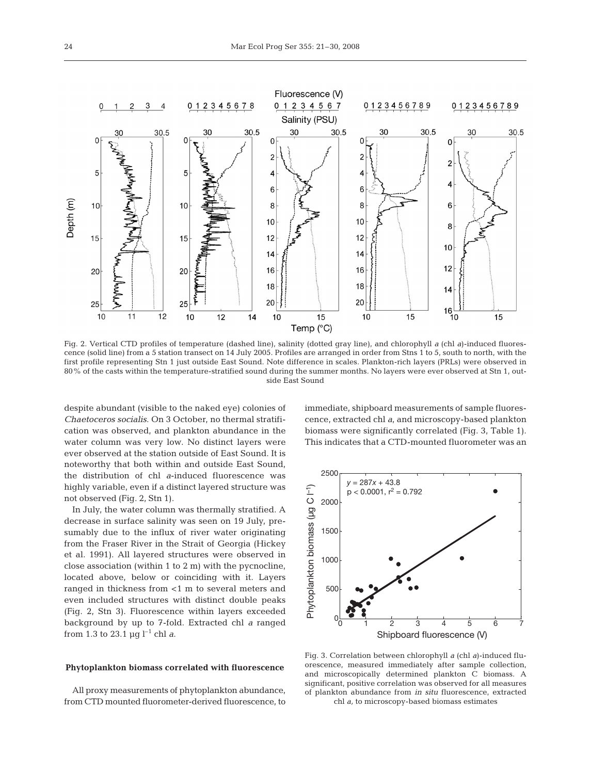

Fig. 2. Vertical CTD profiles of temperature (dashed line), salinity (dotted gray line), and chlorophyll *a* (chl *a*)-induced fluorescence (solid line) from a 5 station transect on 14 July 2005. Profiles are arranged in order from Stns 1 to 5, south to north, with the first profile representing Stn 1 just outside East Sound. Note difference in scales. Plankton-rich layers (PRLs) were observed in 80% of the casts within the temperature-stratified sound during the summer months. No layers were ever observed at Stn 1, outside East Sound

despite abundant (visible to the naked eye) colonies of *Chaetoceros socialis*. On 3 October, no thermal stratification was observed, and plankton abundance in the water column was very low. No distinct layers were ever observed at the station outside of East Sound. It is noteworthy that both within and outside East Sound, the distribution of chl *a*-induced fluorescence was highly variable, even if a distinct layered structure was not observed (Fig. 2, Stn 1).

In July, the water column was thermally stratified. A decrease in surface salinity was seen on 19 July, presumably due to the influx of river water originating from the Fraser River in the Strait of Georgia (Hickey et al. 1991). All layered structures were observed in close association (within 1 to 2 m) with the pycnocline, located above, below or coinciding with it. Layers ranged in thickness from <1 m to several meters and even included structures with distinct double peaks (Fig. 2, Stn 3). Fluorescence within layers exceeded background by up to 7-fold. Extracted chl *a* ranged from 1.3 to 23.1  $\mu$ g l<sup>-1</sup> chl *a*.

# **Phytoplankton biomass correlated with fluorescence**

All proxy measurements of phytoplankton abundance, from CTD mounted fluorometer-derived fluorescence, to immediate, shipboard measurements of sample fluorescence, extracted chl *a*, and microscopy-based plankton biomass were significantly correlated (Fig. 3, Table 1). This indicates that a CTD-mounted fluorometer was an



Fig. 3. Correlation between chlorophyll *a* (chl *a*)-induced fluorescence, measured immediately after sample collection, and microscopically determined plankton C biomass. A significant, positive correlation was observed for all measures of plankton abundance from *in situ* fluorescence, extracted chl *a,* to microscopy-based biomass estimates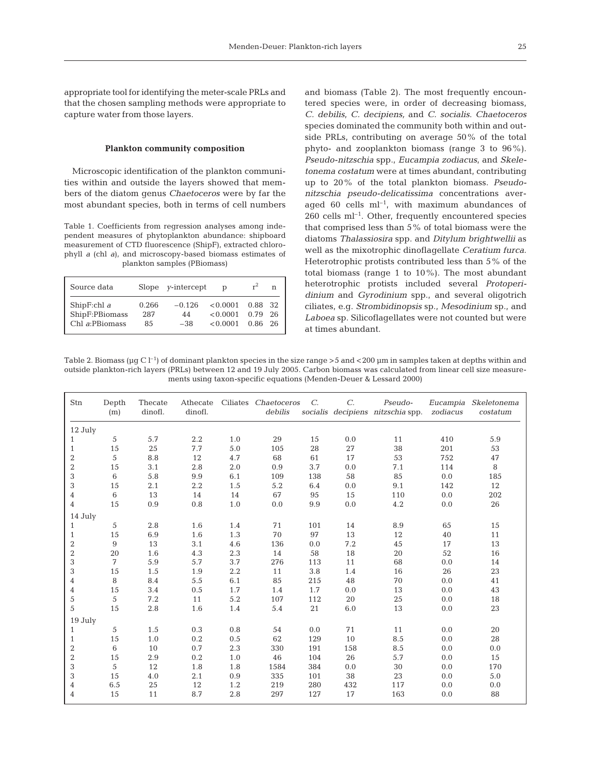appropriate tool for identifying the meter-scale PRLs and that the chosen sampling methods were appropriate to capture water from those layers.

## **Plankton community composition**

Microscopic identification of the plankton communities within and outside the layers showed that members of the diatom genus *Chaetoceros* were by far the most abundant species, both in terms of cell numbers

Table 1. Coefficients from regression analyses among independent measures of phytoplankton abundance: shipboard measurement of CTD fluorescence (ShipF), extracted chlorophyll *a* (chl *a*), and microscopy-based biomass estimates of plankton samples (PBiomass)

| Source data    |       | Slope $v$ -intercept |          | $r^2$ | n   |
|----------------|-------|----------------------|----------|-------|-----|
| ShipF:chl $a$  | 0.266 | $-0.126$             | < 0.0001 | 0.88  | -32 |
| ShipF:PBiomass | 287   | 44                   | < 0.0001 | 0.79  | 26  |
| Chl a:PBiomass | 85    | $-38$                | < 0.0001 | 0.86  | 26  |

and biomass (Table 2). The most frequently encountered species were, in order of decreasing biomass, *C. debilis*, *C. decipiens,* and *C. socialis*. *Chaetoceros* species dominated the community both within and outside PRLs, contributing on average 50% of the total phyto- and zooplankton biomass (range 3 to 96%). *Pseudo-nitzschia* spp., *Eucampia zodiacus*, and *Skeletonema costatum* were at times abundant, contributing up to 20% of the total plankton biomass. *Pseudonitzschia pseudo-delicatissima* concentrations averaged 60 cells  $ml^{-1}$ , with maximum abundances of  $260$  cells ml<sup>-1</sup>. Other, frequently encountered species that comprised less than 5% of total biomass were the diatoms *Thalassiosira* spp. and *Ditylum brightwellii* as well as the mixotrophic dinoflagellate *Ceratium furca*. Heterotrophic protists contributed less than 5% of the total biomass (range 1 to 10%). The most abundant heterotrophic protists included several *Protoperidinium* and *Gyrodinium* spp., and several oligotrich ciliates, e.g. *Strombidinopsis* sp., *Mesodinium* sp., and *Laboea* sp. Silicoflagellates were not counted but were at times abundant.

Table 2. Biomass (µg C  $l^{-1}$ ) of dominant plankton species in the size range >5 and <200 µm in samples taken at depths within and outside plankton-rich layers (PRLs) between 12 and 19 July 2005. Carbon biomass was calculated from linear cell size measurements using taxon-specific equations (Menden-Deuer & Lessard 2000)

| Stn              | Depth<br>(m)   | Thecate<br>dinofl. | Athecate<br>dinofl. |     | Ciliates Chaetoceros<br>debilis | $C$ . | $C$ . | Pseudo-<br>socialis decipiens nitzschia spp. | zodiacus | Eucampia Skeletonema<br>costatum |
|------------------|----------------|--------------------|---------------------|-----|---------------------------------|-------|-------|----------------------------------------------|----------|----------------------------------|
| 12 July          |                |                    |                     |     |                                 |       |       |                                              |          |                                  |
| 1                | 5              | 5.7                | 2.2                 | 1.0 | 29                              | 15    | 0.0   | 11                                           | 410      | 5.9                              |
| $\mathbf{1}$     | 15             | 25                 | 7.7                 | 5.0 | 105                             | 28    | 27    | 38                                           | 201      | 53                               |
| $\overline{2}$   | 5              | 8.8                | 12                  | 4.7 | 68                              | 61    | 17    | 53                                           | 752      | 47                               |
| $\boldsymbol{2}$ | 15             | 3.1                | 2.8                 | 2.0 | 0.9                             | 3.7   | 0.0   | 7.1                                          | 114      | 8                                |
| 3                | 6              | 5.8                | 9.9                 | 6.1 | 109                             | 138   | 58    | 85                                           | 0.0      | 185                              |
| 3                | 15             | 2.1                | 2.2                 | 1.5 | 5.2                             | 6.4   | 0.0   | 9.1                                          | 142      | $12\,$                           |
| 4                | 6              | 13                 | 14                  | 14  | 67                              | 95    | 15    | 110                                          | 0.0      | 202                              |
| $\overline{4}$   | 15             | 0.9                | 0.8                 | 1.0 | 0.0                             | 9.9   | 0.0   | 4.2                                          | 0.0      | 26                               |
| 14 July          |                |                    |                     |     |                                 |       |       |                                              |          |                                  |
| $\mathbf{1}$     | 5              | 2.8                | 1.6                 | 1.4 | 71                              | 101   | 14    | 8.9                                          | 65       | 15                               |
| $\mathbf{1}$     | 15             | 6.9                | 1.6                 | 1.3 | 70                              | 97    | 13    | 12                                           | 40       | 11                               |
| $\boldsymbol{2}$ | $\overline{9}$ | 13                 | 3.1                 | 4.6 | 136                             | 0.0   | 7.2   | 45                                           | 17       | 13                               |
| $\,2$            | 20             | 1.6                | 4.3                 | 2.3 | 14                              | 58    | 18    | 20                                           | 52       | 16                               |
| 3                | 7              | 5.9                | 5.7                 | 3.7 | 276                             | 113   | 11    | 68                                           | 0.0      | 14                               |
| 3                | 15             | 1.5                | 1.9                 | 2.2 | 11                              | 3.8   | 1.4   | 16                                           | 26       | 23                               |
| 4                | 8              | 8.4                | 5.5                 | 6.1 | 85                              | 215   | 48    | 70                                           | 0.0      | 41                               |
| 4                | 15             | 3.4                | 0.5                 | 1.7 | 1.4                             | 1.7   | 0.0   | 13                                           | 0.0      | 43                               |
| 5                | 5              | 7.2                | 11                  | 5.2 | 107                             | 112   | 20    | 25                                           | 0.0      | 18                               |
| 5                | 15             | 2.8                | 1.6                 | 1.4 | 5.4                             | 21    | 6.0   | 13                                           | 0.0      | 23                               |
| 19 July          |                |                    |                     |     |                                 |       |       |                                              |          |                                  |
| $\mathbf{1}$     | 5              | 1.5                | 0.3                 | 0.8 | 54                              | 0.0   | 71    | 11                                           | 0.0      | 20                               |
| $\mathbf{1}$     | 15             | 1.0                | $0.2\,$             | 0.5 | 62                              | 129   | 10    | 8.5                                          | 0.0      | 28                               |
| $\overline{2}$   | 6              | 10                 | 0.7                 | 2.3 | 330                             | 191   | 158   | 8.5                                          | 0.0      | 0.0                              |
| $\,2$            | 15             | 2.9                | 0.2                 | 1.0 | 46                              | 104   | 26    | 5.7                                          | 0.0      | 15                               |
| 3                | 5              | 12                 | 1.8                 | 1.8 | 1584                            | 384   | 0.0   | 30                                           | 0.0      | 170                              |
| 3                | 15             | 4.0                | 2.1                 | 0.9 | 335                             | 101   | 38    | 23                                           | 0.0      | 5.0                              |
| 4                | 6.5            | 25                 | 12                  | 1.2 | 219                             | 280   | 432   | 117                                          | 0.0      | 0.0                              |
| 4                | 15             | 11                 | 8.7                 | 2.8 | 297                             | 127   | 17    | 163                                          | 0.0      | 88                               |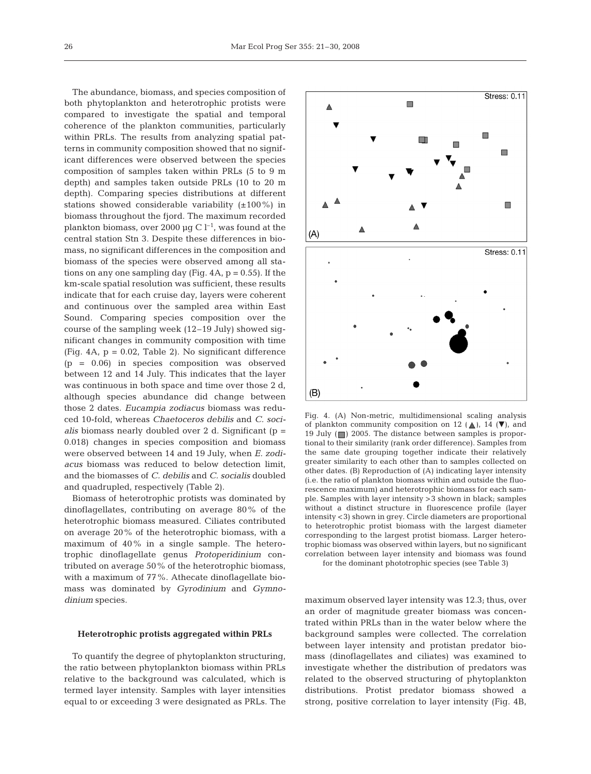The abundance, biomass, and species composition of both phytoplankton and heterotrophic protists were compared to investigate the spatial and temporal coherence of the plankton communities, particularly within PRLs. The results from analyzing spatial patterns in community composition showed that no significant differences were observed between the species composition of samples taken within PRLs (5 to 9 m depth) and samples taken outside PRLs (10 to 20 m depth). Comparing species distributions at different stations showed considerable variability  $(\pm 100\%)$  in biomass throughout the fjord. The maximum recorded plankton biomass, over 2000 µg C  $l^{-1}$ , was found at the central station Stn 3. Despite these differences in biomass, no significant differences in the composition and biomass of the species were observed among all stations on any one sampling day (Fig.  $4A$ ,  $p = 0.55$ ). If the km-scale spatial resolution was sufficient, these results indicate that for each cruise day, layers were coherent and continuous over the sampled area within East Sound. Comparing species composition over the course of the sampling week (12–19 July) showed significant changes in community composition with time (Fig.  $4A$ ,  $p = 0.02$ , Table 2). No significant difference (p = 0.06) in species composition was observed between 12 and 14 July. This indicates that the layer was continuous in both space and time over those 2 d, although species abundance did change between those 2 dates. *Eucampia zodiacus* biomass was reduced 10-fold, whereas *Chaetoceros debilis* and *C. socialis* biomass nearly doubled over 2 d. Significant (p = 0.018) changes in species composition and biomass were observed between 14 and 19 July, when *E. zodiacus* biomass was reduced to below detection limit, and the biomasses of *C. debilis* and *C. socialis* doubled and quadrupled, respectively (Table 2).

Biomass of heterotrophic protists was dominated by dinoflagellates, contributing on average 80% of the heterotrophic biomass measured. Ciliates contributed on average 20% of the heterotrophic biomass, with a maximum of 40% in a single sample. The heterotrophic dinoflagellate genus *Protoperidinium* contributed on average 50% of the heterotrophic biomass, with a maximum of 77%. Athecate dinoflagellate biomass was dominated by *Gyrodinium* and *Gymnodinium* species.

## **Heterotrophic protists aggregated within PRLs**

To quantify the degree of phytoplankton structuring, the ratio between phytoplankton biomass within PRLs relative to the background was calculated, which is termed layer intensity. Samples with layer intensities equal to or exceeding 3 were designated as PRLs. The



Fig. 4. (A) Non-metric, multidimensional scaling analysis of plankton community composition on 12 ( $\triangle$ ), 14 ( $\nabla$ ), and 19 July  $(\Box)$  2005. The distance between samples is proportional to their similarity (rank order difference). Samples from the same date grouping together indicate their relatively greater similarity to each other than to samples collected on other dates. (B) Reproduction of (A) indicating layer intensity (i.e. the ratio of plankton biomass within and outside the fluorescence maximum) and heterotrophic biomass for each sample. Samples with layer intensity >3 shown in black; samples without a distinct structure in fluorescence profile (layer intensity <3) shown in grey. Circle diameters are proportional to heterotrophic protist biomass with the largest diameter corresponding to the largest protist biomass. Larger heterotrophic biomass was observed within layers, but no significant correlation between layer intensity and biomass was found

for the dominant phototrophic species (see Table 3)

maximum observed layer intensity was 12.3; thus, over an order of magnitude greater biomass was concentrated within PRLs than in the water below where the background samples were collected. The correlation between layer intensity and protistan predator biomass (dinoflagellates and ciliates) was examined to investigate whether the distribution of predators was related to the observed structuring of phytoplankton distributions. Protist predator biomass showed a strong, positive correlation to layer intensity (Fig. 4B,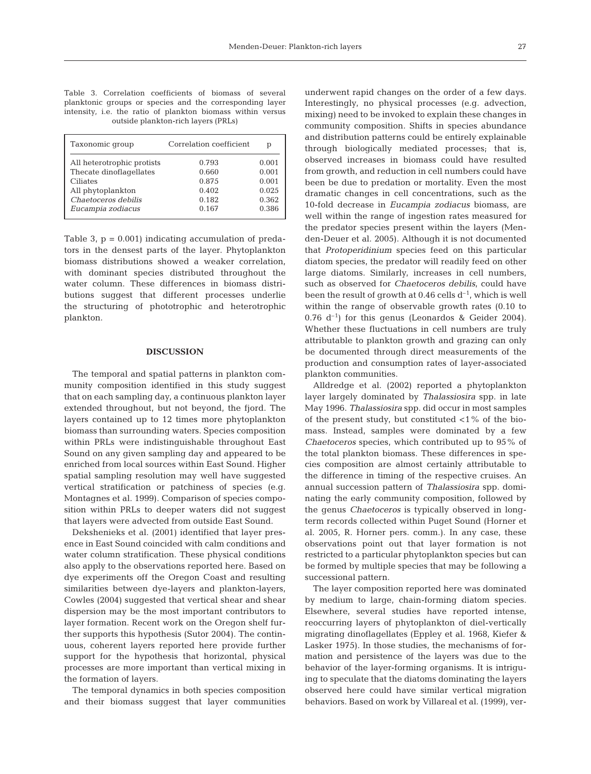|  | Table 3. Correlation coefficients of biomass of several     |  |  |                                     |  |  |
|--|-------------------------------------------------------------|--|--|-------------------------------------|--|--|
|  | planktonic groups or species and the corresponding layer    |  |  |                                     |  |  |
|  | intensity, i.e. the ratio of plankton biomass within versus |  |  |                                     |  |  |
|  |                                                             |  |  | outside plankton-rich layers (PRLs) |  |  |

| Taxonomic group            | Correlation coefficient | р     |  |
|----------------------------|-------------------------|-------|--|
| All heterotrophic protists | 0.793                   | 0.001 |  |
| Thecate dinoflagellates    | 0.660                   | 0.001 |  |
| Ciliates                   | 0.875                   | 0.001 |  |
| All phytoplankton          | 0.402                   | 0.025 |  |
| Chaetoceros debilis        | 0.182                   | 0.362 |  |
| Eucampia zodiacus          | 0.167                   | 0.386 |  |

Table 3,  $p = 0.001$ ) indicating accumulation of predators in the densest parts of the layer. Phytoplankton biomass distributions showed a weaker correlation, with dominant species distributed throughout the water column. These differences in biomass distributions suggest that different processes underlie the structuring of phototrophic and heterotrophic plankton.

## **DISCUSSION**

The temporal and spatial patterns in plankton community composition identified in this study suggest that on each sampling day, a continuous plankton layer extended throughout, but not beyond, the fjord. The layers contained up to 12 times more phytoplankton biomass than surrounding waters. Species composition within PRLs were indistinguishable throughout East Sound on any given sampling day and appeared to be enriched from local sources within East Sound. Higher spatial sampling resolution may well have suggested vertical stratification or patchiness of species (e.g. Montagnes et al. 1999). Comparison of species composition within PRLs to deeper waters did not suggest that layers were advected from outside East Sound.

Dekshenieks et al. (2001) identified that layer presence in East Sound coincided with calm conditions and water column stratification. These physical conditions also apply to the observations reported here. Based on dye experiments off the Oregon Coast and resulting similarities between dye-layers and plankton-layers, Cowles (2004) suggested that vertical shear and shear dispersion may be the most important contributors to layer formation. Recent work on the Oregon shelf further supports this hypothesis (Sutor 2004). The continuous, coherent layers reported here provide further support for the hypothesis that horizontal, physical processes are more important than vertical mixing in the formation of layers.

The temporal dynamics in both species composition and their biomass suggest that layer communities underwent rapid changes on the order of a few days. Interestingly, no physical processes (e.g. advection, mixing) need to be invoked to explain these changes in community composition. Shifts in species abundance and distribution patterns could be entirely explainable through biologically mediated processes; that is, observed increases in biomass could have resulted from growth, and reduction in cell numbers could have been be due to predation or mortality. Even the most dramatic changes in cell concentrations, such as the 10-fold decrease in *Eucampia zodiacus* biomass, are well within the range of ingestion rates measured for the predator species present within the layers (Menden-Deuer et al. 2005). Although it is not documented that *Protoperidinium* species feed on this particular diatom species, the predator will readily feed on other large diatoms. Similarly, increases in cell numbers, such as observed for *Chaetoceros debilis*, could have been the result of growth at  $0.46$  cells  $d^{-1}$ , which is well within the range of observable growth rates (0.10 to 0.76  $d^{-1}$ ) for this genus (Leonardos & Geider 2004). Whether these fluctuations in cell numbers are truly attributable to plankton growth and grazing can only be documented through direct measurements of the production and consumption rates of layer-associated plankton communities.

Alldredge et al. (2002) reported a phytoplankton layer largely dominated by *Thalassiosira* spp. in late May 1996. *Thalassiosira* spp. did occur in most samples of the present study, but constituted  $\langle 1\%$  of the biomass. Instead, samples were dominated by a few *Chaetoceros* species, which contributed up to 95% of the total plankton biomass. These differences in species composition are almost certainly attributable to the difference in timing of the respective cruises. An annual succession pattern of *Thalassiosira* spp. dominating the early community composition, followed by the genus *Chaetoceros* is typically observed in longterm records collected within Puget Sound (Horner et al. 2005, R. Horner pers. comm.). In any case, these observations point out that layer formation is not restricted to a particular phytoplankton species but can be formed by multiple species that may be following a successional pattern.

The layer composition reported here was dominated by medium to large, chain-forming diatom species. Elsewhere, several studies have reported intense, reoccurring layers of phytoplankton of diel-vertically migrating dinoflagellates (Eppley et al. 1968, Kiefer & Lasker 1975). In those studies, the mechanisms of formation and persistence of the layers was due to the behavior of the layer-forming organisms. It is intriguing to speculate that the diatoms dominating the layers observed here could have similar vertical migration behaviors. Based on work by Villareal et al. (1999), ver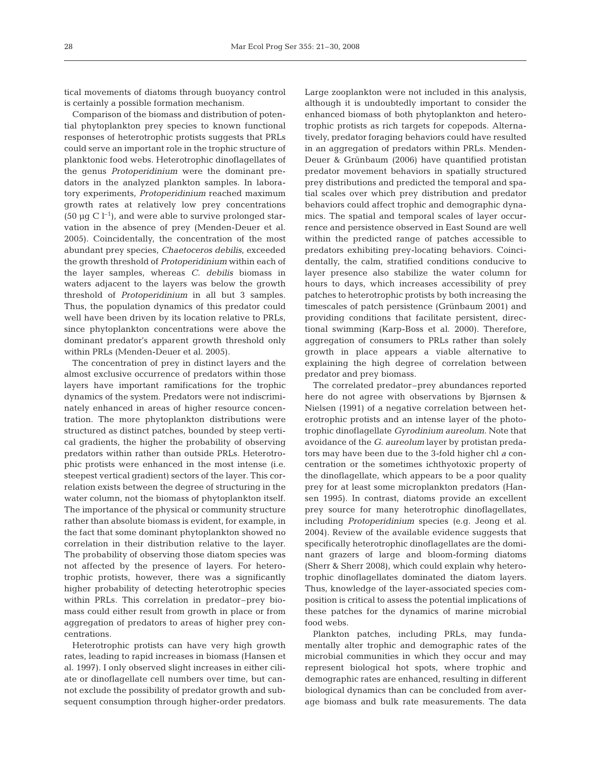tical movements of diatoms through buoyancy control is certainly a possible formation mechanism.

Comparison of the biomass and distribution of potential phytoplankton prey species to known functional responses of heterotrophic protists suggests that PRLs could serve an important role in the trophic structure of planktonic food webs. Heterotrophic dinoflagellates of the genus *Protoperidinium* were the dominant predators in the analyzed plankton samples. In laboratory experiments, *Protoperidinium* reached maximum growth rates at relatively low prey concentrations (50  $\mu$ g C l<sup>-1</sup>), and were able to survive prolonged starvation in the absence of prey (Menden-Deuer et al. 2005). Coincidentally, the concentration of the most abundant prey species, *Chaetoceros debilis*, exceeded the growth threshold of *Protoperidinium* within each of the layer samples, whereas *C. debilis* biomass in waters adjacent to the layers was below the growth threshold of *Protoperidinium* in all but 3 samples. Thus, the population dynamics of this predator could well have been driven by its location relative to PRLs, since phytoplankton concentrations were above the dominant predator's apparent growth threshold only within PRLs (Menden-Deuer et al. 2005).

The concentration of prey in distinct layers and the almost exclusive occurrence of predators within those layers have important ramifications for the trophic dynamics of the system. Predators were not indiscriminately enhanced in areas of higher resource concentration. The more phytoplankton distributions were structured as distinct patches, bounded by steep vertical gradients, the higher the probability of observing predators within rather than outside PRLs. Heterotrophic protists were enhanced in the most intense (i.e. steepest vertical gradient) sectors of the layer. This correlation exists between the degree of structuring in the water column, not the biomass of phytoplankton itself. The importance of the physical or community structure rather than absolute biomass is evident, for example, in the fact that some dominant phytoplankton showed no correlation in their distribution relative to the layer. The probability of observing those diatom species was not affected by the presence of layers. For heterotrophic protists, however, there was a significantly higher probability of detecting heterotrophic species within PRLs. This correlation in predator–prey biomass could either result from growth in place or from aggregation of predators to areas of higher prey concentrations.

Heterotrophic protists can have very high growth rates, leading to rapid increases in biomass (Hansen et al. 1997). I only observed slight increases in either ciliate or dinoflagellate cell numbers over time, but cannot exclude the possibility of predator growth and subsequent consumption through higher-order predators.

Large zooplankton were not included in this analysis, although it is undoubtedly important to consider the enhanced biomass of both phytoplankton and heterotrophic protists as rich targets for copepods. Alternatively, predator foraging behaviors could have resulted in an aggregation of predators within PRLs. Menden-Deuer & Grünbaum (2006) have quantified protistan predator movement behaviors in spatially structured prey distributions and predicted the temporal and spatial scales over which prey distribution and predator behaviors could affect trophic and demographic dynamics. The spatial and temporal scales of layer occurrence and persistence observed in East Sound are well within the predicted range of patches accessible to predators exhibiting prey-locating behaviors. Coincidentally, the calm, stratified conditions conducive to layer presence also stabilize the water column for hours to days, which increases accessibility of prey patches to heterotrophic protists by both increasing the timescales of patch persistence (Grünbaum 2001) and providing conditions that facilitate persistent, directional swimming (Karp-Boss et al. 2000). Therefore, aggregation of consumers to PRLs rather than solely growth in place appears a viable alternative to explaining the high degree of correlation between predator and prey biomass.

The correlated predator–prey abundances reported here do not agree with observations by Bjørnsen & Nielsen (1991) of a negative correlation between heterotrophic protists and an intense layer of the phototrophic dinoflagellate *Gyrodinium aureolum*. Note that avoidance of the *G. aureolum* layer by protistan predators may have been due to the 3-fold higher chl *a* concentration or the sometimes ichthyotoxic property of the dinoflagellate, which appears to be a poor quality prey for at least some microplankton predators (Hansen 1995). In contrast, diatoms provide an excellent prey source for many heterotrophic dinoflagellates, including *Protoperidinium* species (e.g. Jeong et al. 2004). Review of the available evidence suggests that specifically heterotrophic dinoflagellates are the dominant grazers of large and bloom-forming diatoms (Sherr & Sherr 2008), which could explain why heterotrophic dinoflagellates dominated the diatom layers. Thus, knowledge of the layer-associated species composition is critical to assess the potential implications of these patches for the dynamics of marine microbial food webs.

Plankton patches, including PRLs, may fundamentally alter trophic and demographic rates of the microbial communities in which they occur and may represent biological hot spots, where trophic and demographic rates are enhanced, resulting in different biological dynamics than can be concluded from average biomass and bulk rate measurements. The data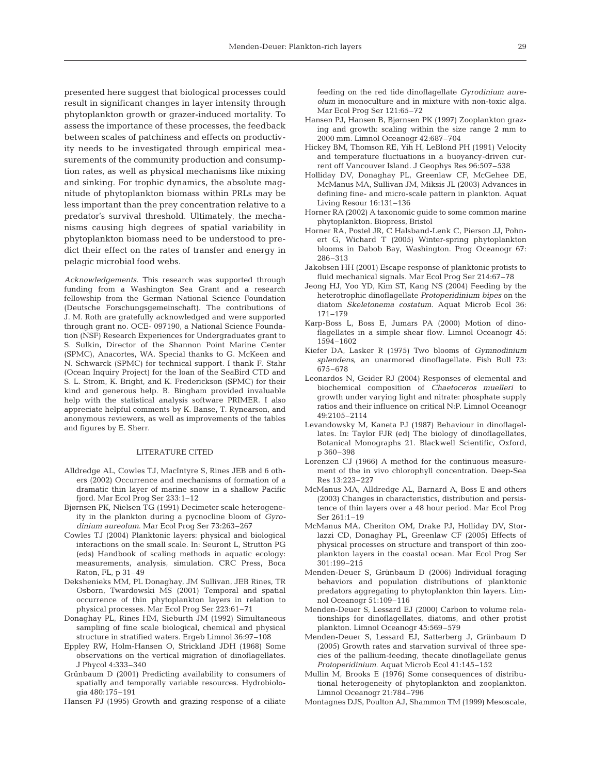presented here suggest that biological processes could result in significant changes in layer intensity through phytoplankton growth or grazer-induced mortality. To assess the importance of these processes, the feedback between scales of patchiness and effects on productivity needs to be investigated through empirical measurements of the community production and consumption rates, as well as physical mechanisms like mixing and sinking. For trophic dynamics, the absolute magnitude of phytoplankton biomass within PRLs may be less important than the prey concentration relative to a predator's survival threshold. Ultimately, the mechanisms causing high degrees of spatial variability in phytoplankton biomass need to be understood to predict their effect on the rates of transfer and energy in pelagic microbial food webs.

*Acknowledgements.* This research was supported through funding from a Washington Sea Grant and a research fellowship from the German National Science Foundation (Deutsche Forschungsgemeinschaft). The contributions of J. M. Roth are gratefully acknowledged and were supported through grant no. OCE- 097190, a National Science Foundation (NSF) Research Experiences for Undergraduates grant to S. Sulkin, Director of the Shannon Point Marine Center (SPMC), Anacortes, WA. Special thanks to G. McKeen and N. Schwarck (SPMC) for technical support. I thank F. Stahr (Ocean Inquiry Project) for the loan of the SeaBird CTD and S. L. Strom, K. Bright, and K. Frederickson (SPMC) for their kind and generous help. B. Bingham provided invaluable help with the statistical analysis software PRIMER. I also appreciate helpful comments by K. Banse, T. Rynearson, and anonymous reviewers, as well as improvements of the tables and figures by E. Sherr.

#### LITERATURE CITED

- Alldredge AL, Cowles TJ, MacIntyre S, Rines JEB and 6 others (2002) Occurrence and mechanisms of formation of a dramatic thin layer of marine snow in a shallow Pacific fjord. Mar Ecol Prog Ser 233:1–12
- Bjørnsen PK, Nielsen TG (1991) Decimeter scale heterogeneity in the plankton during a pycnocline bloom of *Gyrodinium aureolum*. Mar Ecol Prog Ser 73:263–267
- Cowles TJ (2004) Planktonic layers: physical and biological interactions on the small scale. In: Seuront L, Strutton PG (eds) Handbook of scaling methods in aquatic ecology: measurements, analysis, simulation. CRC Press, Boca Raton, FL, p 31–49
- Dekshenieks MM, PL Donaghay, JM Sullivan, JEB Rines, TR Osborn, Twardowski MS (2001) Temporal and spatial occurrence of thin phytoplankton layers in relation to physical processes. Mar Ecol Prog Ser 223:61–71
- Donaghay PL, Rines HM, Sieburth JM (1992) Simultaneous sampling of fine scale biological, chemical and physical structure in stratified waters. Ergeb Limnol 36:97–108
- Eppley RW, Holm-Hansen O, Strickland JDH (1968) Some observations on the vertical migration of dinoflagellates. J Phycol 4:333–340
- Grünbaum D (2001) Predicting availability to consumers of spatially and temporally variable resources. Hydrobiologia 480:175–191
- Hansen PJ (1995) Growth and grazing response of a ciliate

feeding on the red tide dinoflagellate *Gyrodinium aureolum* in monoculture and in mixture with non-toxic alga. Mar Ecol Prog Ser 121:65–72

- Hansen PJ, Hansen B, Bjørnsen PK (1997) Zooplankton grazing and growth: scaling within the size range 2 mm to 2000 mm. Limnol Oceanogr 42:687–704
- Hickey BM, Thomson RE, Yih H, LeBlond PH (1991) Velocity and temperature fluctuations in a buoyancy-driven current off Vancouver Island. J Geophys Res 96:507–538
- Holliday DV, Donaghay PL, Greenlaw CF, McGehee DE, McManus MA, Sullivan JM, Miksis JL (2003) Advances in defining fine- and micro-scale pattern in plankton. Aquat Living Resour 16:131–136
- Horner RA (2002) A taxonomic guide to some common marine phytoplankton. Biopress, Bristol
- Horner RA, Postel JR, C Halsband-Lenk C, Pierson JJ, Pohnert G, Wichard T (2005) Winter-spring phytoplankton blooms in Dabob Bay, Washington. Prog Oceanogr 67: 286–313
- Jakobsen HH (2001) Escape response of planktonic protists to fluid mechanical signals. Mar Ecol Prog Ser 214:67–78
- Jeong HJ, Yoo YD, Kim ST, Kang NS (2004) Feeding by the heterotrophic dinoflagellate *Protoperidinium bipes* on the diatom *Skeletonema costatum*. Aquat Microb Ecol 36: 171–179
- Karp-Boss L, Boss E, Jumars PA (2000) Motion of dinoflagellates in a simple shear flow. Limnol Oceanogr 45: 1594–1602
- Kiefer DA, Lasker R (1975) Two blooms of *Gymnodinium splendens*, an unarmored dinoflagellate. Fish Bull 73: 675–678
- Leonardos N, Geider RJ (2004) Responses of elemental and biochemical composition of *Chaetoceros muelleri* to growth under varying light and nitrate: phosphate supply ratios and their influence on critical N:P. Limnol Oceanogr 49:2105–2114
- Levandowsky M, Kaneta PJ (1987) Behaviour in dinoflagellates. In: Taylor FJR (ed) The biology of dinoflagellates, Botanical Monographs 21. Blackwell Scientific, Oxford, p 360–398
- Lorenzen CJ (1966) A method for the continuous measurement of the in vivo chlorophyll concentration. Deep-Sea Res 13:223–227
- McManus MA, Alldredge AL, Barnard A, Boss E and others (2003) Changes in characteristics, distribution and persistence of thin layers over a 48 hour period. Mar Ecol Prog Ser 261:1–19
- McManus MA, Cheriton OM, Drake PJ, Holliday DV, Storlazzi CD, Donaghay PL, Greenlaw CF (2005) Effects of physical processes on structure and transport of thin zooplankton layers in the coastal ocean. Mar Ecol Prog Ser 301:199–215
- Menden-Deuer S, Grünbaum D (2006) Individual foraging behaviors and population distributions of planktonic predators aggregating to phytoplankton thin layers. Limnol Oceanogr 51:109–116
- Menden-Deuer S, Lessard EJ (2000) Carbon to volume relationships for dinoflagellates, diatoms, and other protist plankton. Limnol Oceanogr 45:569–579
- Menden-Deuer S, Lessard EJ, Satterberg J, Grünbaum D (2005) Growth rates and starvation survival of three species of the pallium-feeding, thecate dinoflagellate genus *Protoperidinium*. Aquat Microb Ecol 41:145–152
- Mullin M, Brooks E (1976) Some consequences of distributional heterogeneity of phytoplankton and zooplankton. Limnol Oceanogr 21:784–796
- Montagnes DJS, Poulton AJ, Shammon TM (1999) Mesoscale,